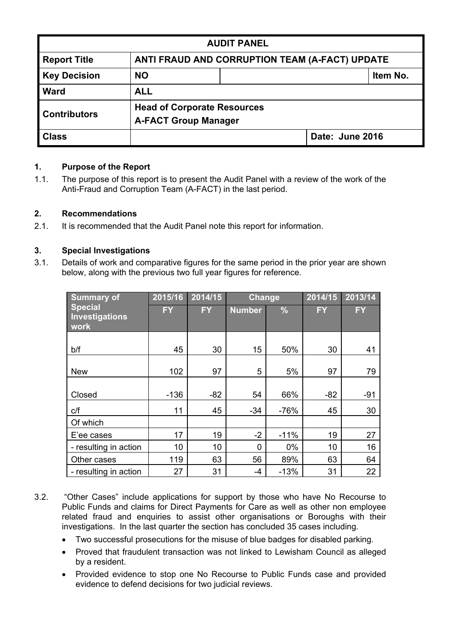| <b>AUDIT PANEL</b>                                        |                                                |  |  |          |  |
|-----------------------------------------------------------|------------------------------------------------|--|--|----------|--|
| <b>Report Title</b>                                       | ANTI FRAUD AND CORRUPTION TEAM (A-FACT) UPDATE |  |  |          |  |
| <b>Key Decision</b>                                       | <b>NO</b>                                      |  |  | Item No. |  |
| <b>Ward</b>                                               | <b>ALL</b>                                     |  |  |          |  |
| <b>Head of Corporate Resources</b><br><b>Contributors</b> |                                                |  |  |          |  |
|                                                           | <b>A-FACT Group Manager</b>                    |  |  |          |  |
| <b>Class</b>                                              | Date: June 2016                                |  |  |          |  |

# **1. Purpose of the Report**

1.1. The purpose of this report is to present the Audit Panel with a review of the work of the Anti-Fraud and Corruption Team (A-FACT) in the last period.

### **2. Recommendations**

2.1. It is recommended that the Audit Panel note this report for information.

### **3. Special Investigations**

3.1. Details of work and comparative figures for the same period in the prior year are shown below, along with the previous two full year figures for reference.

| <b>Summary of</b>                               | 2015/16   | 2014/15   | Change        |               | 2014/15   | 2013/14   |
|-------------------------------------------------|-----------|-----------|---------------|---------------|-----------|-----------|
| <b>Special</b><br><b>Investigations</b><br>work | <b>FY</b> | <b>FY</b> | <b>Number</b> | $\frac{9}{6}$ | <b>FY</b> | <b>FY</b> |
| b/f                                             | 45        | 30        | 15            | 50%           | 30        | 41        |
| <b>New</b>                                      | 102       | 97        | 5             | 5%            | 97        | 79        |
|                                                 |           |           |               |               |           |           |
| Closed                                          | $-136$    | $-82$     | 54            | 66%           | $-82$     | $-91$     |
| C/f                                             | 11        | 45        | $-34$         | $-76%$        | 45        | 30        |
| Of which                                        |           |           |               |               |           |           |
| E'ee cases                                      | 17        | 19        | $-2$          | $-11%$        | 19        | 27        |
| - resulting in action                           | 10        | 10        | $\mathbf{0}$  | $0\%$         | 10        | 16        |
| Other cases                                     | 119       | 63        | 56            | 89%           | 63        | 64        |
| - resulting in action                           | 27        | 31        | -4            | $-13%$        | 31        | 22        |

- 3.2. "Other Cases" include applications for support by those who have No Recourse to Public Funds and claims for Direct Payments for Care as well as other non employee related fraud and enquiries to assist other organisations or Boroughs with their investigations. In the last quarter the section has concluded 35 cases including.
	- Two successful prosecutions for the misuse of blue badges for disabled parking.
	- Proved that fraudulent transaction was not linked to Lewisham Council as alleged by a resident.
	- Provided evidence to stop one No Recourse to Public Funds case and provided evidence to defend decisions for two judicial reviews.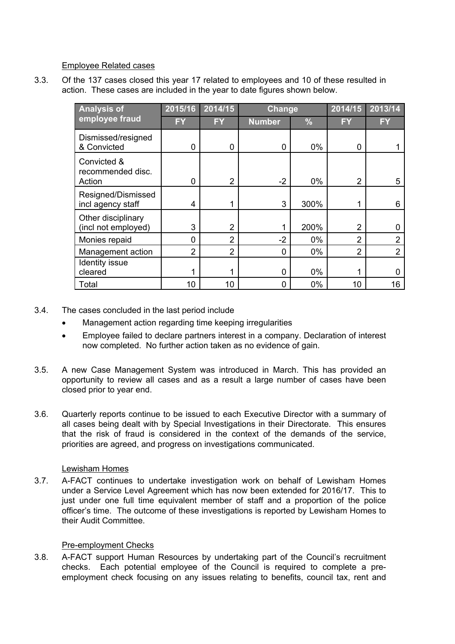Employee Related cases

3.3. Of the 137 cases closed this year 17 related to employees and 10 of these resulted in action. These cases are included in the year to date figures shown below.

| <b>Analysis of</b>                         | 2015/16        | 2014/15        |               | Change        |                | 2013/14        |
|--------------------------------------------|----------------|----------------|---------------|---------------|----------------|----------------|
| employee fraud                             | <b>FY</b>      | <b>FY</b>      | <b>Number</b> | $\frac{0}{6}$ | FY             | FY             |
| Dismissed/resigned<br>& Convicted          | 0              | 0              | $\Omega$      | $0\%$         | 0              |                |
| Convicted &<br>recommended disc.<br>Action | 0              | $\overline{2}$ | $-2$          | $0\%$         | $\overline{2}$ | 5              |
| Resigned/Dismissed<br>incl agency staff    | 4              |                | 3             | 300%          | 1              | 6              |
| Other disciplinary<br>(incl not employed)  | 3              | $\mathfrak{p}$ |               | 200%          | 2              | 0              |
| Monies repaid                              | 0              | $\overline{2}$ | $-2$          | $0\%$         | $\overline{2}$ | 2              |
| Management action                          | $\overline{2}$ | $\overline{2}$ | 0             | $0\%$         | $\overline{2}$ | $\overline{2}$ |
| <b>Identity issue</b><br>cleared           |                |                | 0             | $0\%$         |                | 0              |
| Total                                      | 10             | 10             | 0             | 0%            | 10             | 16             |

- 3.4. The cases concluded in the last period include
	- Management action regarding time keeping irregularities
	- Employee failed to declare partners interest in a company. Declaration of interest now completed. No further action taken as no evidence of gain.
- 3.5. A new Case Management System was introduced in March. This has provided an opportunity to review all cases and as a result a large number of cases have been closed prior to year end.
- 3.6. Quarterly reports continue to be issued to each Executive Director with a summary of all cases being dealt with by Special Investigations in their Directorate. This ensures that the risk of fraud is considered in the context of the demands of the service, priorities are agreed, and progress on investigations communicated.

### Lewisham Homes

3.7. A-FACT continues to undertake investigation work on behalf of Lewisham Homes under a Service Level Agreement which has now been extended for 2016/17. This to just under one full time equivalent member of staff and a proportion of the police officer's time. The outcome of these investigations is reported by Lewisham Homes to their Audit Committee.

### Pre-employment Checks

3.8. A-FACT support Human Resources by undertaking part of the Council's recruitment checks. Each potential employee of the Council is required to complete a preemployment check focusing on any issues relating to benefits, council tax, rent and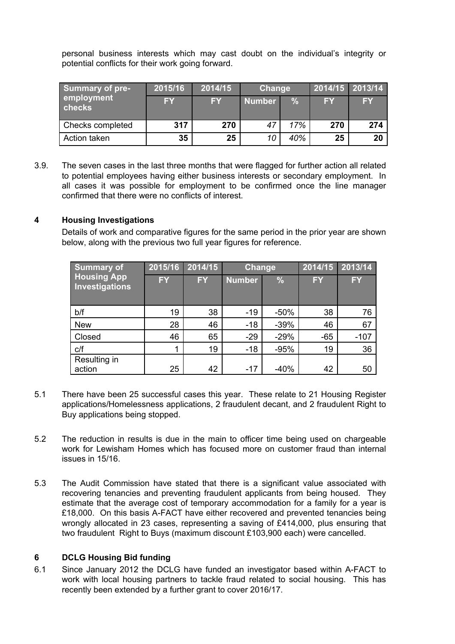personal business interests which may cast doubt on the individual's integrity or potential conflicts for their work going forward.

| <b>Summary of pre-</b>      | 2015/16   | 2014/15   | Change        |      | 2014/15 2013/14 |           |
|-----------------------------|-----------|-----------|---------------|------|-----------------|-----------|
| employment<br><b>checks</b> | <b>FY</b> | <b>FY</b> | <b>Number</b> | $\%$ | <b>FY</b>       | <b>FY</b> |
| Checks completed            | 317       | 270       | 47            | 17%  | 270             | 274       |
| Action taken                | 35        | 25        | 10            | 40%  | 25              | 20        |

3.9. The seven cases in the last three months that were flagged for further action all related to potential employees having either business interests or secondary employment. In all cases it was possible for employment to be confirmed once the line manager confirmed that there were no conflicts of interest.

### **4 Housing Investigations**

Details of work and comparative figures for the same period in the prior year are shown below, along with the previous two full year figures for reference.

| <b>Summary of</b>                    | 2015/16   | 2014/15   | Change        |               | 2014/15   | 2013/14   |
|--------------------------------------|-----------|-----------|---------------|---------------|-----------|-----------|
| <b>Housing App</b><br>Investigations | <b>FY</b> | <b>FY</b> | <b>Number</b> | $\frac{9}{6}$ | <b>FY</b> | <b>FY</b> |
| b/f                                  | 19        | 38        | $-19$         | $-50%$        | 38        | 76        |
| <b>New</b>                           | 28        | 46        | $-18$         | $-39%$        | 46        | 67        |
| Closed                               | 46        | 65        | $-29$         | $-29%$        | $-65$     | $-107$    |
| C/f                                  |           | 19        | $-18$         | $-95%$        | 19        | 36        |
| Resulting in<br>action               | 25        | 42        | $-17$         | $-40%$        | 42        | 50        |

- 5.1 There have been 25 successful cases this year. These relate to 21 Housing Register applications/Homelessness applications, 2 fraudulent decant, and 2 fraudulent Right to Buy applications being stopped.
- 5.2 The reduction in results is due in the main to officer time being used on chargeable work for Lewisham Homes which has focused more on customer fraud than internal issues in 15/16.
- 5.3 The Audit Commission have stated that there is a significant value associated with recovering tenancies and preventing fraudulent applicants from being housed. They estimate that the average cost of temporary accommodation for a family for a year is £18,000. On this basis A-FACT have either recovered and prevented tenancies being wrongly allocated in 23 cases, representing a saving of £414,000, plus ensuring that two fraudulent Right to Buys (maximum discount £103,900 each) were cancelled.

#### **6 DCLG Housing Bid funding**

6.1 Since January 2012 the DCLG have funded an investigator based within A-FACT to work with local housing partners to tackle fraud related to social housing. This has recently been extended by a further grant to cover 2016/17.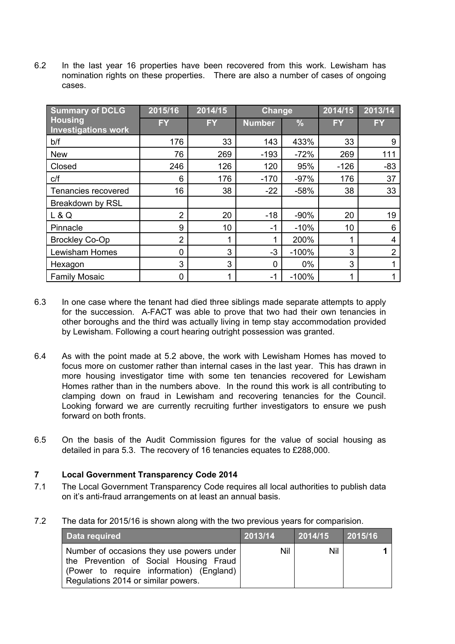6.2 In the last year 16 properties have been recovered from this work. Lewisham has nomination rights on these properties. There are also a number of cases of ongoing cases.

| <b>Summary of DCLG</b>                       | 2015/16        | 2014/15   | <b>Change</b>  |               | 2014/15 | 2013/14        |
|----------------------------------------------|----------------|-----------|----------------|---------------|---------|----------------|
| <b>Housing</b><br><b>Investigations work</b> | FY             | <b>FY</b> | <b>Number</b>  | $\frac{9}{6}$ | FY      | <b>FY</b>      |
| b/f                                          | 176            | 33        | 143            | 433%          | 33      | 9              |
| <b>New</b>                                   | 76             | 269       | $-193$         | $-72%$        | 269     | 111            |
| Closed                                       | 246            | 126       | 120            | 95%           | $-126$  | $-83$          |
| C/f                                          | 6              | 176       | $-170$         | $-97%$        | 176     | 37             |
| Tenancies recovered                          | 16             | 38        | $-22$          | $-58%$        | 38      | 33             |
| Breakdown by RSL                             |                |           |                |               |         |                |
| L & Q                                        | $\overline{2}$ | 20        | $-18$          | $-90%$        | 20      | 19             |
| Pinnacle                                     | 9              | 10        | $-1$           | $-10%$        | 10      | 6              |
| <b>Brockley Co-Op</b>                        | $\overline{2}$ | 1         | 1              | 200%          | ٠       | 4              |
| <b>Lewisham Homes</b>                        | 0              | 3         | $-3$           | $-100%$       | 3       | $\overline{2}$ |
| Hexagon                                      | 3              | 3         | $\overline{0}$ | $0\%$         | 3       |                |
| <b>Family Mosaic</b>                         | 0              | 1         | -1             | $-100%$       |         |                |

- 6.3 In one case where the tenant had died three siblings made separate attempts to apply for the succession. A-FACT was able to prove that two had their own tenancies in other boroughs and the third was actually living in temp stay accommodation provided by Lewisham. Following a court hearing outright possession was granted.
- 6.4 As with the point made at 5.2 above, the work with Lewisham Homes has moved to focus more on customer rather than internal cases in the last year. This has drawn in more housing investigator time with some ten tenancies recovered for Lewisham Homes rather than in the numbers above. In the round this work is all contributing to clamping down on fraud in Lewisham and recovering tenancies for the Council. Looking forward we are currently recruiting further investigators to ensure we push forward on both fronts.
- 6.5 On the basis of the Audit Commission figures for the value of social housing as detailed in para 5.3. The recovery of 16 tenancies equates to £288,000.

### **7 Local Government Transparency Code 2014**

- 7.1 The Local Government Transparency Code requires all local authorities to publish data on it's anti-fraud arrangements on at least an annual basis.
- 7.2 The data for 2015/16 is shown along with the two previous years for comparision.

| Data required                                                                                                                                                          | 2013/14 | 2014/15 | 2015/16 |
|------------------------------------------------------------------------------------------------------------------------------------------------------------------------|---------|---------|---------|
| Number of occasions they use powers under<br>the Prevention of Social Housing Fraud<br>(Power to require information) (England)<br>Regulations 2014 or similar powers. | Nil     | Nil     | 1       |